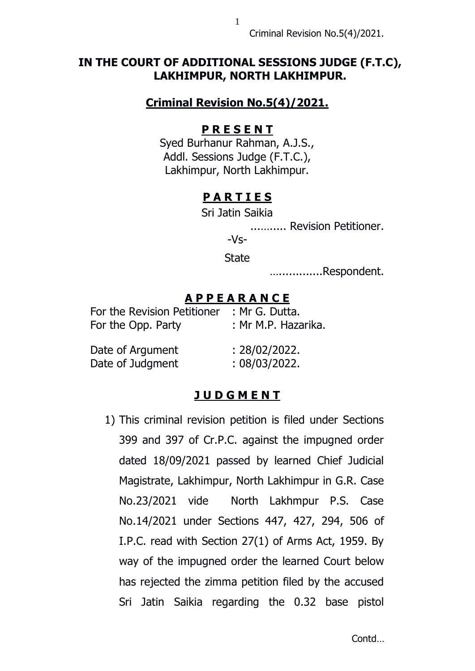Criminal Revision No.5(4)/2021.

## **IN THE COURT OF ADDITIONAL SESSIONS JUDGE (F.T.C), LAKHIMPUR, NORTH LAKHIMPUR.**

## **Criminal Revision No.5(4)/2021.**

#### **P R E S E N T**

Syed Burhanur Rahman, A.J.S., Addl. Sessions Judge (F.T.C.), Lakhimpur, North Lakhimpur.

## **P A R T I E S**

Sri Jatin Saikia

...…..... Revision Petitioner.

-Vs-

**State** 

….............Respondent.

#### **A P P E A R A N C E**

| For the Revision Petitioner | : Mr G. Dutta.      |
|-----------------------------|---------------------|
| For the Opp. Party          | : Mr M.P. Hazarika. |
| Date of Argument            | : 28/02/2022.       |
| Date of Judgment            | : 08/03/2022.       |

# **J U D G M E N T**

1) This criminal revision petition is filed under Sections 399 and 397 of Cr.P.C. against the impugned order dated 18/09/2021 passed by learned Chief Judicial Magistrate, Lakhimpur, North Lakhimpur in G.R. Case No.23/2021 vide North Lakhmpur P.S. Case No.14/2021 under Sections 447, 427, 294, 506 of I.P.C. read with Section 27(1) of Arms Act, 1959. By way of the impugned order the learned Court below has rejected the zimma petition filed by the accused Sri Jatin Saikia regarding the 0.32 base pistol

1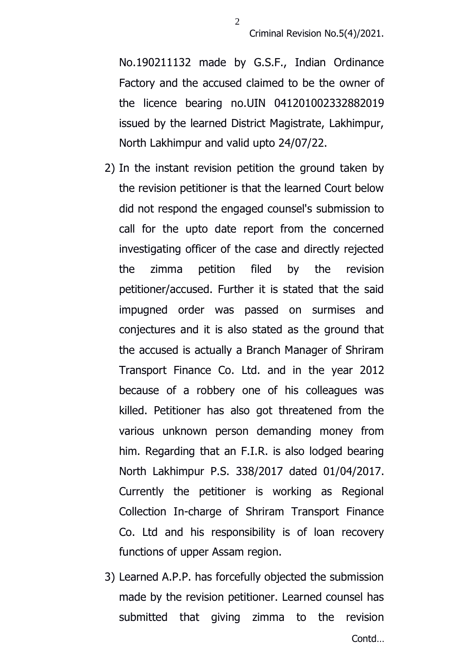No.190211132 made by G.S.F., Indian Ordinance Factory and the accused claimed to be the owner of the licence bearing no.UIN 041201002332882019 issued by the learned District Magistrate, Lakhimpur, North Lakhimpur and valid upto 24/07/22.

- 2) In the instant revision petition the ground taken by the revision petitioner is that the learned Court below did not respond the engaged counsel's submission to call for the upto date report from the concerned investigating officer of the case and directly rejected the zimma petition filed by the revision petitioner/accused. Further it is stated that the said impugned order was passed on surmises and conjectures and it is also stated as the ground that the accused is actually a Branch Manager of Shriram Transport Finance Co. Ltd. and in the year 2012 because of a robbery one of his colleagues was killed. Petitioner has also got threatened from the various unknown person demanding money from him. Regarding that an F.I.R. is also lodged bearing North Lakhimpur P.S. 338/2017 dated 01/04/2017. Currently the petitioner is working as Regional Collection In-charge of Shriram Transport Finance Co. Ltd and his responsibility is of loan recovery functions of upper Assam region.
- 3) Learned A.P.P. has forcefully objected the submission made by the revision petitioner. Learned counsel has submitted that giving zimma to the revision

2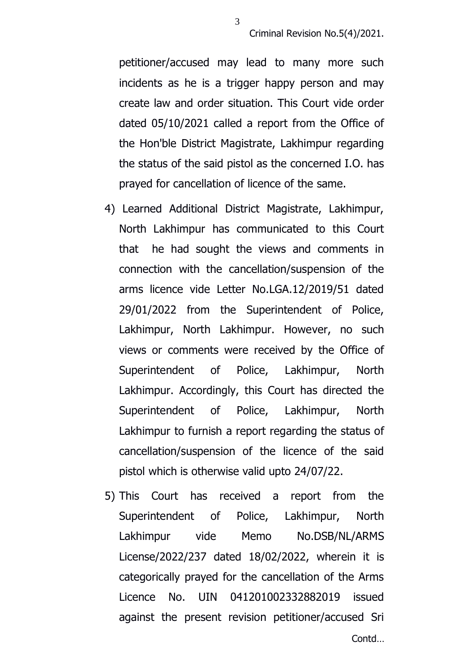petitioner/accused may lead to many more such incidents as he is a trigger happy person and may create law and order situation. This Court vide order dated 05/10/2021 called a report from the Office of the Hon'ble District Magistrate, Lakhimpur regarding the status of the said pistol as the concerned I.O. has prayed for cancellation of licence of the same.

3

- 4) Learned Additional District Magistrate, Lakhimpur, North Lakhimpur has communicated to this Court that he had sought the views and comments in connection with the cancellation/suspension of the arms licence vide Letter No.LGA.12/2019/51 dated 29/01/2022 from the Superintendent of Police, Lakhimpur, North Lakhimpur. However, no such views or comments were received by the Office of Superintendent of Police, Lakhimpur, North Lakhimpur. Accordingly, this Court has directed the Superintendent of Police, Lakhimpur, North Lakhimpur to furnish a report regarding the status of cancellation/suspension of the licence of the said pistol which is otherwise valid upto 24/07/22.
- 5) This Court has received a report from the Superintendent of Police, Lakhimpur, North Lakhimpur vide Memo No.DSB/NL/ARMS License/2022/237 dated 18/02/2022, wherein it is categorically prayed for the cancellation of the Arms Licence No. UIN 041201002332882019 issued against the present revision petitioner/accused Sri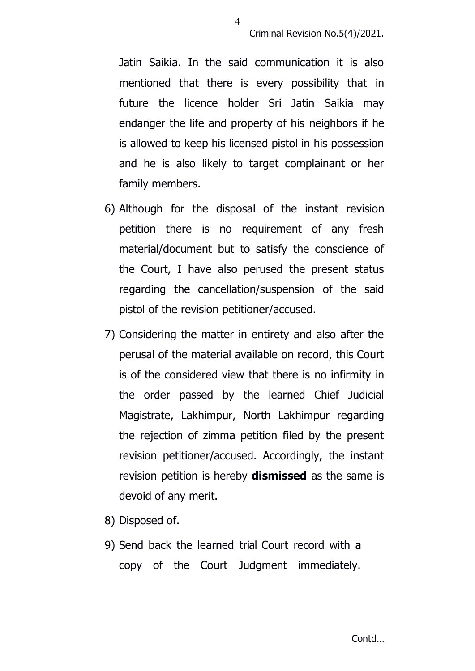Criminal Revision No.5(4)/2021.

Jatin Saikia. In the said communication it is also mentioned that there is every possibility that in future the licence holder Sri Jatin Saikia may endanger the life and property of his neighbors if he is allowed to keep his licensed pistol in his possession and he is also likely to target complainant or her family members.

- 6) Although for the disposal of the instant revision petition there is no requirement of any fresh material/document but to satisfy the conscience of the Court, I have also perused the present status regarding the cancellation/suspension of the said pistol of the revision petitioner/accused.
- 7) Considering the matter in entirety and also after the perusal of the material available on record, this Court is of the considered view that there is no infirmity in the order passed by the learned Chief Judicial Magistrate, Lakhimpur, North Lakhimpur regarding the rejection of zimma petition filed by the present revision petitioner/accused. Accordingly, the instant revision petition is hereby **dismissed** as the same is devoid of any merit.
- 8) Disposed of.
- 9) Send back the learned trial Court record with a copy of the Court Judgment immediately.